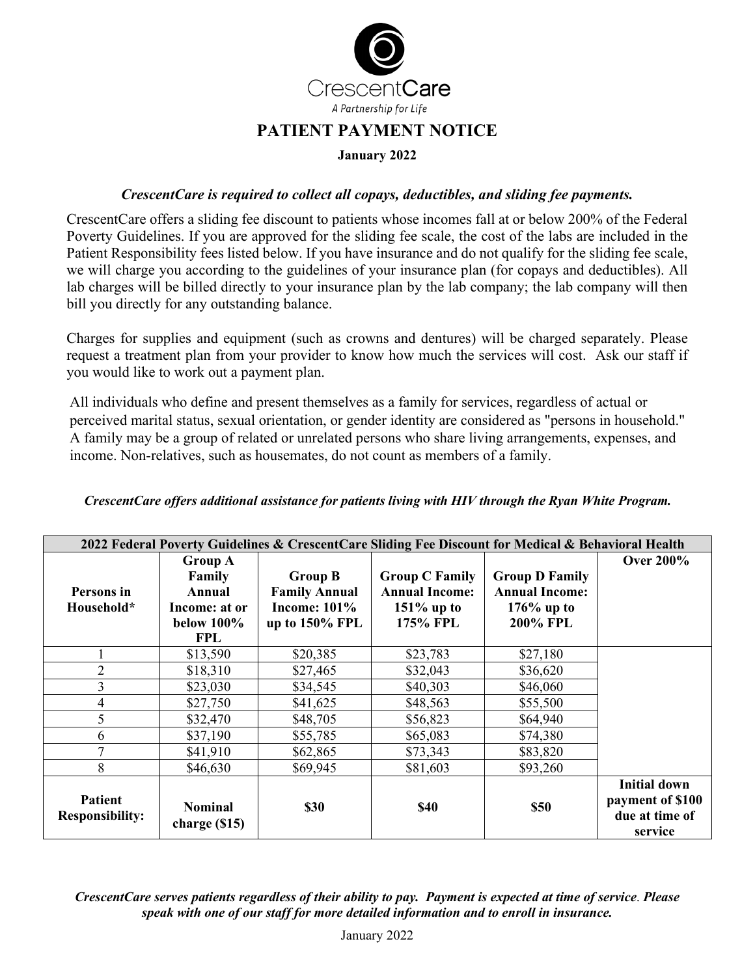

## **PATIENT PAYMENT NOTICE**

## **January 2022**

## *CrescentCare is required to collect all copays, deductibles, and sliding fee payments.*

CrescentCare offers a sliding fee discount to patients whose incomes fall at or below 200% of the Federal Poverty Guidelines. If you are approved for the sliding fee scale, the cost of the labs are included in the Patient Responsibility fees listed below. If you have insurance and do not qualify for the sliding fee scale, we will charge you according to the guidelines of your insurance plan (for copays and deductibles). All lab charges will be billed directly to your insurance plan by the lab company; the lab company will then bill you directly for any outstanding balance.

Charges for supplies and equipment (such as crowns and dentures) will be charged separately. Please request a treatment plan from your provider to know how much the services will cost. Ask our staff if you would like to work out a payment plan.

All individuals who define and present themselves as a family for services, regardless of actual or perceived marital status, sexual orientation, or gender identity are considered as "persons in household." A family may be a group of related or unrelated persons who share living arrangements, expenses, and income. Non-relatives, such as housemates, do not count as members of a family.

| 2022 Federal Poverty Guidelines & CrescentCare Sliding Fee Discount for Medical & Behavioral Health |                                 |                      |                       |                       |                                                                      |  |  |
|-----------------------------------------------------------------------------------------------------|---------------------------------|----------------------|-----------------------|-----------------------|----------------------------------------------------------------------|--|--|
|                                                                                                     | <b>Group A</b>                  |                      |                       |                       | <b>Over 200%</b>                                                     |  |  |
|                                                                                                     | Family                          | <b>Group B</b>       | <b>Group C Family</b> | <b>Group D Family</b> |                                                                      |  |  |
| Persons in                                                                                          | Annual                          | <b>Family Annual</b> | <b>Annual Income:</b> | <b>Annual Income:</b> |                                                                      |  |  |
| Household*                                                                                          | Income: at or                   | Income: $101\%$      | $151\%$ up to         | $176\%$ up to         |                                                                      |  |  |
|                                                                                                     | below $100\%$                   | up to 150% FPL       | 175% FPL              | <b>200% FPL</b>       |                                                                      |  |  |
|                                                                                                     | <b>FPL</b>                      |                      |                       |                       |                                                                      |  |  |
|                                                                                                     | \$13,590                        | \$20,385             | \$23,783              | \$27,180              |                                                                      |  |  |
| $\overline{2}$                                                                                      | \$18,310                        | \$27,465             | \$32,043              | \$36,620              |                                                                      |  |  |
| 3                                                                                                   | \$23,030                        | \$34,545             | \$40,303              | \$46,060              |                                                                      |  |  |
| 4                                                                                                   | \$27,750                        | \$41,625             | \$48,563              | \$55,500              |                                                                      |  |  |
| 5                                                                                                   | \$32,470                        | \$48,705             | \$56,823              | \$64,940              |                                                                      |  |  |
| 6                                                                                                   | \$37,190                        | \$55,785             | \$65,083              | \$74,380              |                                                                      |  |  |
| 7                                                                                                   | \$41,910                        | \$62,865             | \$73,343              | \$83,820              |                                                                      |  |  |
| 8                                                                                                   | \$46,630                        | \$69,945             | \$81,603              | \$93,260              |                                                                      |  |  |
| <b>Patient</b><br><b>Responsibility:</b>                                                            | <b>Nominal</b><br>charge $(15)$ | \$30                 | <b>\$40</b>           | <b>\$50</b>           | <b>Initial down</b><br>payment of \$100<br>due at time of<br>service |  |  |

*CrescentCare offers additional assistance for patients living with HIV through the Ryan White Program.* 

*CrescentCare serves patients regardless of their ability to pay. Payment is expected at time of service*. *Please speak with one of our staff for more detailed information and to enroll in insurance.*